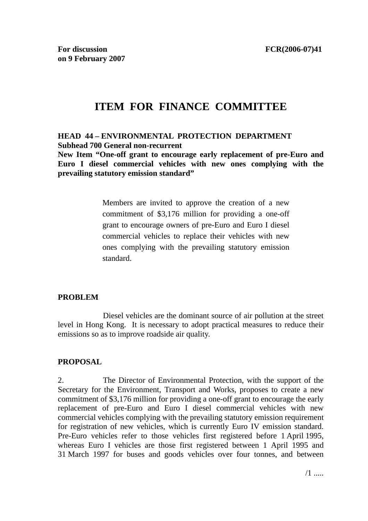# **ITEM FOR FINANCE COMMITTEE**

#### **HEAD 44 – ENVIRONMENTAL PROTECTION DEPARTMENT Subhead 700 General non-recurrent**

**New Item "One-off grant to encourage early replacement of pre-Euro and Euro I diesel commercial vehicles with new ones complying with the prevailing statutory emission standard"** 

> Members are invited to approve the creation of a new commitment of \$3,176 million for providing a one-off grant to encourage owners of pre-Euro and Euro I diesel commercial vehicles to replace their vehicles with new ones complying with the prevailing statutory emission standard.

#### **PROBLEM**

 Diesel vehicles are the dominant source of air pollution at the street level in Hong Kong. It is necessary to adopt practical measures to reduce their emissions so as to improve roadside air quality.

#### **PROPOSAL**

2. The Director of Environmental Protection, with the support of the Secretary for the Environment, Transport and Works, proposes to create a new commitment of \$3,176 million for providing a one-off grant to encourage the early replacement of pre-Euro and Euro I diesel commercial vehicles with new commercial vehicles complying with the prevailing statutory emission requirement for registration of new vehicles, which is currently Euro IV emission standard. Pre-Euro vehicles refer to those vehicles first registered before 1 April 1995, whereas Euro I vehicles are those first registered between 1 April 1995 and 31 March 1997 for buses and goods vehicles over four tonnes, and between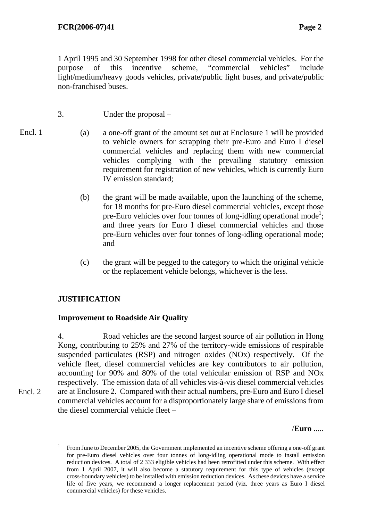1 April 1995 and 30 September 1998 for other diesel commercial vehicles. For the purpose of this incentive scheme, "commercial vehicles" include light/medium/heavy goods vehicles, private/public light buses, and private/public non-franchised buses.

- 3. Under the proposal –
- Encl. 1
- (a) a one-off grant of the amount set out at Enclosure 1 will be provided to vehicle owners for scrapping their pre-Euro and Euro I diesel commercial vehicles and replacing them with new commercial vehicles complying with the prevailing statutory emission requirement for registration of new vehicles, which is currently Euro IV emission standard;
	- (b) the grant will be made available, upon the launching of the scheme, for 18 months for pre-Euro diesel commercial vehicles, except those pre-Euro vehicles over four tonnes of long-idling operational mode<sup>1</sup>; and three years for Euro I diesel commercial vehicles and those pre-Euro vehicles over four tonnes of long-idling operational mode; and
	- (c) the grant will be pegged to the category to which the original vehicle or the replacement vehicle belongs, whichever is the less.

# **JUSTIFICATION**

 $\overline{a}$ 

Encl. 2

# **Improvement to Roadside Air Quality**

4. Road vehicles are the second largest source of air pollution in Hong Kong, contributing to 25% and 27% of the territory-wide emissions of respirable suspended particulates (RSP) and nitrogen oxides (NOx) respectively. Of the vehicle fleet, diesel commercial vehicles are key contributors to air pollution, accounting for 90% and 80% of the total vehicular emission of RSP and NOx respectively. The emission data of all vehicles vis-à-vis diesel commercial vehicles are at Enclosure 2. Compared with their actual numbers, pre-Euro and Euro I diesel commercial vehicles account for a disproportionately large share of emissions from the diesel commercial vehicle fleet –

/**Euro** .....

<sup>1</sup> From June to December 2005, the Government implemented an incentive scheme offering a one-off grant for pre-Euro diesel vehicles over four tonnes of long-idling operational mode to install emission reduction devices. A total of 2 333 eligible vehicles had been retrofitted under this scheme. With effect from 1 April 2007, it will also become a statutory requirement for this type of vehicles (except cross-boundary vehicles) to be installed with emission reduction devices. As these devices have a service life of five years, we recommend a longer replacement period (viz. three years as Euro I diesel commercial vehicles) for these vehicles.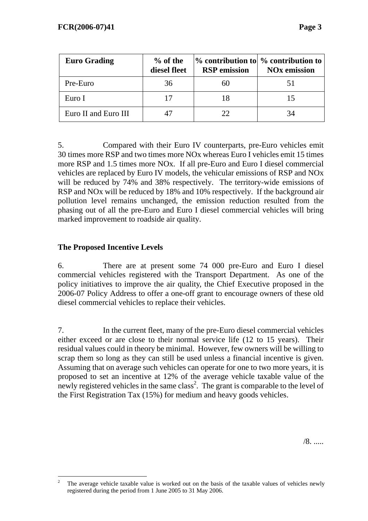| <b>Euro Grading</b>  | $%$ of the<br>diesel fleet | <b>RSP</b> emission | $\%$ contribution to $\%$ contribution to<br><b>NO<sub>x</sub></b> emission |
|----------------------|----------------------------|---------------------|-----------------------------------------------------------------------------|
| Pre-Euro             | 36                         |                     |                                                                             |
| Euro I               |                            |                     |                                                                             |
| Euro II and Euro III |                            |                     |                                                                             |

5. Compared with their Euro IV counterparts, pre-Euro vehicles emit 30 times more RSP and two times more NOx whereas Euro I vehicles emit 15 times more RSP and 1.5 times more NOx. If all pre-Euro and Euro I diesel commercial vehicles are replaced by Euro IV models, the vehicular emissions of RSP and NOx will be reduced by 74% and 38% respectively. The territory-wide emissions of RSP and NOx will be reduced by 18% and 10% respectively. If the background air pollution level remains unchanged, the emission reduction resulted from the phasing out of all the pre-Euro and Euro I diesel commercial vehicles will bring marked improvement to roadside air quality.

# **The Proposed Incentive Levels**

6. There are at present some 74 000 pre-Euro and Euro I diesel commercial vehicles registered with the Transport Department. As one of the policy initiatives to improve the air quality, the Chief Executive proposed in the 2006-07 Policy Address to offer a one-off grant to encourage owners of these old diesel commercial vehicles to replace their vehicles.

7. In the current fleet, many of the pre-Euro diesel commercial vehicles either exceed or are close to their normal service life (12 to 15 years). Their residual values could in theory be minimal. However, few owners will be willing to scrap them so long as they can still be used unless a financial incentive is given. Assuming that on average such vehicles can operate for one to two more years, it is proposed to set an incentive at 12% of the average vehicle taxable value of the newly registered vehicles in the same class<sup>2</sup>. The grant is comparable to the level of the First Registration Tax (15%) for medium and heavy goods vehicles.

 $\frac{1}{2}$  The average vehicle taxable value is worked out on the basis of the taxable values of vehicles newly registered during the period from 1 June 2005 to 31 May 2006.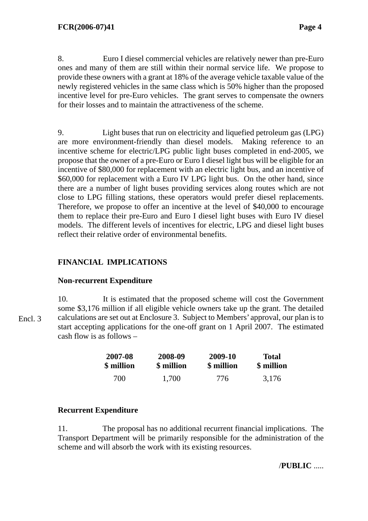8. Euro I diesel commercial vehicles are relatively newer than pre-Euro ones and many of them are still within their normal service life. We propose to provide these owners with a grant at 18% of the average vehicle taxable value of the newly registered vehicles in the same class which is 50% higher than the proposed incentive level for pre-Euro vehicles. The grant serves to compensate the owners for their losses and to maintain the attractiveness of the scheme.

9. Light buses that run on electricity and liquefied petroleum gas (LPG) are more environment-friendly than diesel models. Making reference to an incentive scheme for electric/LPG public light buses completed in end-2005, we propose that the owner of a pre-Euro or Euro I diesel light bus will be eligible for an incentive of \$80,000 for replacement with an electric light bus, and an incentive of \$60,000 for replacement with a Euro IV LPG light bus. On the other hand, since there are a number of light buses providing services along routes which are not close to LPG filling stations, these operators would prefer diesel replacements. Therefore, we propose to offer an incentive at the level of \$40,000 to encourage them to replace their pre-Euro and Euro I diesel light buses with Euro IV diesel models. The different levels of incentives for electric, LPG and diesel light buses reflect their relative order of environmental benefits.

# **FINANCIAL IMPLICATIONS**

# **Non-recurrent Expenditure**

10. It is estimated that the proposed scheme will cost the Government some \$3,176 million if all eligible vehicle owners take up the grant. The detailed calculations are set out at Enclosure 3. Subject to Members' approval, our plan is to start accepting applications for the one-off grant on 1 April 2007. The estimated cash flow is as follows –

| 2007-08    | 2008-09    | 2009-10    | <b>Total</b> |
|------------|------------|------------|--------------|
| \$ million | \$ million | \$ million | \$ million   |
| 700        | 1,700      | 776        | 3,176        |

# **Recurrent Expenditure**

11. The proposal has no additional recurrent financial implications. The Transport Department will be primarily responsible for the administration of the scheme and will absorb the work with its existing resources.

/**PUBLIC** .....

Encl. 3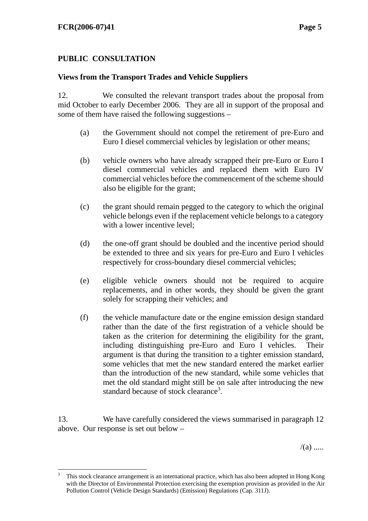$\overline{a}$ 

# **PUBLIC CONSULTATION**

## **Views from the Transport Trades and Vehicle Suppliers**

12. We consulted the relevant transport trades about the proposal from mid October to early December 2006. They are all in support of the proposal and some of them have raised the following suggestions –

- (a) the Government should not compel the retirement of pre-Euro and Euro I diesel commercial vehicles by legislation or other means;
- (b) vehicle owners who have already scrapped their pre-Euro or Euro I diesel commercial vehicles and replaced them with Euro IV commercial vehicles before the commencement of the scheme should also be eligible for the grant;
- (c) the grant should remain pegged to the category to which the original vehicle belongs even if the replacement vehicle belongs to a category with a lower incentive level;
- (d) the one-off grant should be doubled and the incentive period should be extended to three and six years for pre-Euro and Euro I vehicles respectively for cross-boundary diesel commercial vehicles;
- (e) eligible vehicle owners should not be required to acquire replacements, and in other words, they should be given the grant solely for scrapping their vehicles; and
- (f) the vehicle manufacture date or the engine emission design standard rather than the date of the first registration of a vehicle should be taken as the criterion for determining the eligibility for the grant, including distinguishing pre-Euro and Euro I vehicles. Their argument is that during the transition to a tighter emission standard, some vehicles that met the new standard entered the market earlier than the introduction of the new standard, while some vehicles that met the old standard might still be on sale after introducing the new standard because of stock clearance<sup>3</sup>.

13. We have carefully considered the views summarised in paragraph 12 above. Our response is set out below –

 $/(a)$  .....

<sup>3</sup> This stock clearance arrangement is an international practice, which has also been adopted in Hong Kong with the Director of Environmental Protection exercising the exemption provision as provided in the Air Pollution Control (Vehicle Design Standards) (Emission) Regulations (Cap. 311J).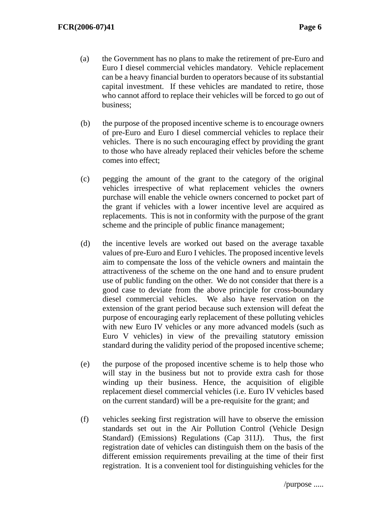- (a) the Government has no plans to make the retirement of pre-Euro and Euro I diesel commercial vehicles mandatory. Vehicle replacement can be a heavy financial burden to operators because of its substantial capital investment. If these vehicles are mandated to retire, those who cannot afford to replace their vehicles will be forced to go out of business;
- (b) the purpose of the proposed incentive scheme is to encourage owners of pre-Euro and Euro I diesel commercial vehicles to replace their vehicles. There is no such encouraging effect by providing the grant to those who have already replaced their vehicles before the scheme comes into effect;
- (c) pegging the amount of the grant to the category of the original vehicles irrespective of what replacement vehicles the owners purchase will enable the vehicle owners concerned to pocket part of the grant if vehicles with a lower incentive level are acquired as replacements. This is not in conformity with the purpose of the grant scheme and the principle of public finance management;
- (d) the incentive levels are worked out based on the average taxable values of pre-Euro and Euro I vehicles. The proposed incentive levels aim to compensate the loss of the vehicle owners and maintain the attractiveness of the scheme on the one hand and to ensure prudent use of public funding on the other. We do not consider that there is a good case to deviate from the above principle for cross-boundary diesel commercial vehicles. We also have reservation on the extension of the grant period because such extension will defeat the purpose of encouraging early replacement of these polluting vehicles with new Euro IV vehicles or any more advanced models (such as Euro V vehicles) in view of the prevailing statutory emission standard during the validity period of the proposed incentive scheme;
- (e) the purpose of the proposed incentive scheme is to help those who will stay in the business but not to provide extra cash for those winding up their business. Hence, the acquisition of eligible replacement diesel commercial vehicles (i.e. Euro IV vehicles based on the current standard) will be a pre-requisite for the grant; and
- (f) vehicles seeking first registration will have to observe the emission standards set out in the Air Pollution Control (Vehicle Design Standard) (Emissions) Regulations (Cap 311J). Thus, the first registration date of vehicles can distinguish them on the basis of the different emission requirements prevailing at the time of their first registration. It is a convenient tool for distinguishing vehicles for the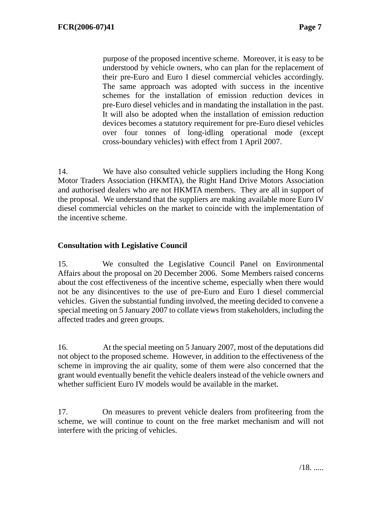purpose of the proposed incentive scheme. Moreover, it is easy to be understood by vehicle owners, who can plan for the replacement of their pre-Euro and Euro I diesel commercial vehicles accordingly. The same approach was adopted with success in the incentive schemes for the installation of emission reduction devices in pre-Euro diesel vehicles and in mandating the installation in the past. It will also be adopted when the installation of emission reduction devices becomes a statutory requirement for pre-Euro diesel vehicles over four tonnes of long-idling operational mode (except cross-boundary vehicles) with effect from 1 April 2007.

14. We have also consulted vehicle suppliers including the Hong Kong Motor Traders Association (HKMTA), the Right Hand Drive Motors Association and authorised dealers who are not HKMTA members. They are all in support of the proposal. We understand that the suppliers are making available more Euro IV diesel commercial vehicles on the market to coincide with the implementation of the incentive scheme.

## **Consultation with Legislative Council**

15. We consulted the Legislative Council Panel on Environmental Affairs about the proposal on 20 December 2006. Some Members raised concerns about the cost effectiveness of the incentive scheme, especially when there would not be any disincentives to the use of pre-Euro and Euro I diesel commercial vehicles. Given the substantial funding involved, the meeting decided to convene a special meeting on 5 January 2007 to collate views from stakeholders, including the affected trades and green groups.

16. At the special meeting on 5 January 2007, most of the deputations did not object to the proposed scheme. However, in addition to the effectiveness of the scheme in improving the air quality, some of them were also concerned that the grant would eventually benefit the vehicle dealers instead of the vehicle owners and whether sufficient Euro IV models would be available in the market.

17. On measures to prevent vehicle dealers from profiteering from the scheme, we will continue to count on the free market mechanism and will not interfere with the pricing of vehicles.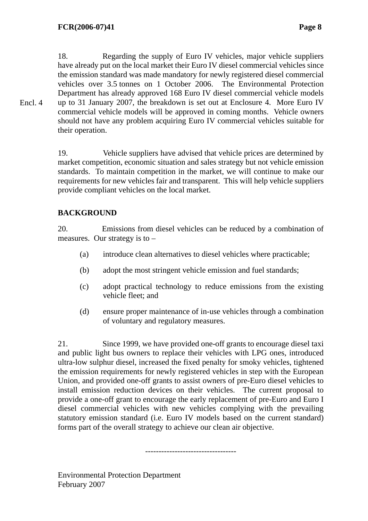Encl. 4

18. Regarding the supply of Euro IV vehicles, major vehicle suppliers have already put on the local market their Euro IV diesel commercial vehicles since the emission standard was made mandatory for newly registered diesel commercial vehicles over 3.5 tonnes on 1 October 2006. The Environmental Protection Department has already approved 168 Euro IV diesel commercial vehicle models up to 31 January 2007, the breakdown is set out at Enclosure 4. More Euro IV commercial vehicle models will be approved in coming months. Vehicle owners should not have any problem acquiring Euro IV commercial vehicles suitable for their operation.

19. Vehicle suppliers have advised that vehicle prices are determined by market competition, economic situation and sales strategy but not vehicle emission standards. To maintain competition in the market, we will continue to make our requirements for new vehicles fair and transparent. This will help vehicle suppliers provide compliant vehicles on the local market.

# **BACKGROUND**

20. Emissions from diesel vehicles can be reduced by a combination of measures. Our strategy is to –

- (a) introduce clean alternatives to diesel vehicles where practicable;
- (b) adopt the most stringent vehicle emission and fuel standards;
- (c) adopt practical technology to reduce emissions from the existing vehicle fleet; and
- (d) ensure proper maintenance of in-use vehicles through a combination of voluntary and regulatory measures.

21. Since 1999, we have provided one-off grants to encourage diesel taxi and public light bus owners to replace their vehicles with LPG ones, introduced ultra-low sulphur diesel, increased the fixed penalty for smoky vehicles, tightened the emission requirements for newly registered vehicles in step with the European Union, and provided one-off grants to assist owners of pre-Euro diesel vehicles to install emission reduction devices on their vehicles. The current proposal to provide a one-off grant to encourage the early replacement of pre-Euro and Euro I diesel commercial vehicles with new vehicles complying with the prevailing statutory emission standard (i.e. Euro IV models based on the current standard) forms part of the overall strategy to achieve our clean air objective.

----------------------------------

Environmental Protection Department February 2007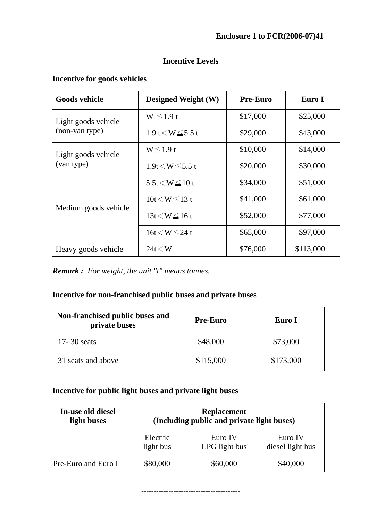# **Enclosure 1 to FCR(2006-07)41**

# **Incentive Levels**

## **Incentive for goods vehicles**

| <b>Goods vehicle</b> | <b>Designed Weight (W)</b> | <b>Pre-Euro</b> | Euro I    |
|----------------------|----------------------------|-----------------|-----------|
| Light goods vehicle  | $W \le 1.9 t$              | \$17,000        | \$25,000  |
| (non-van type)       | 1.9 t $\lt W \le 5.5$ t    | \$29,000        | \$43,000  |
| Light goods vehicle  | $W \le 1.9t$               | \$10,000        | \$14,000  |
| (van type)           | $1.9t \le W \le 5.5t$      | \$20,000        | \$30,000  |
|                      | 5.5t $\lt W \le 10$ t      | \$34,000        | \$51,000  |
| Medium goods vehicle | $10t \leq W \leq 13t$      | \$41,000        | \$61,000  |
|                      | $13t \le W \le 16t$        | \$52,000        | \$77,000  |
|                      | $16t \le W \leq 24t$       | \$65,000        | \$97,000  |
| Heavy goods vehicle  | $24t \leq W$               | \$76,000        | \$113,000 |

*Remark : For weight, the unit "t" means tonnes.*

## **Incentive for non-franchised public buses and private buses**

| Non-franchised public buses and<br>private buses | <b>Pre-Euro</b> | Euro I    |  |
|--------------------------------------------------|-----------------|-----------|--|
| $17 - 30$ seats                                  | \$48,000        | \$73,000  |  |
| 31 seats and above                               | \$115,000       | \$173,000 |  |

# **Incentive for public light buses and private light buses**

| In-use old diesel<br>light buses | <b>Replacement</b><br>(Including public and private light buses) |                          |                             |  |  |  |  |  |  |
|----------------------------------|------------------------------------------------------------------|--------------------------|-----------------------------|--|--|--|--|--|--|
|                                  | Electric<br>light bus                                            | Euro IV<br>LPG light bus | Euro IV<br>diesel light bus |  |  |  |  |  |  |
| <b>Pre-Euro and Euro I</b>       | \$80,000                                                         | \$60,000                 | \$40,000                    |  |  |  |  |  |  |

----------------------------------------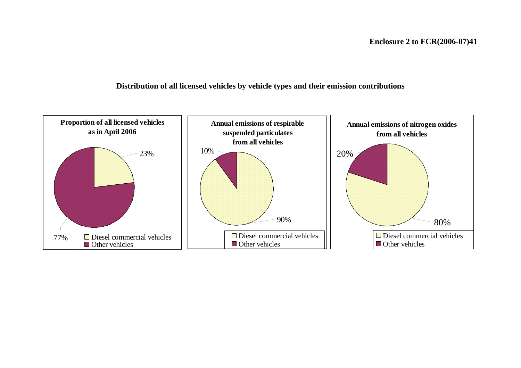#### **Distribution of all licensed vehicles by vehicle types and their emission contributions**

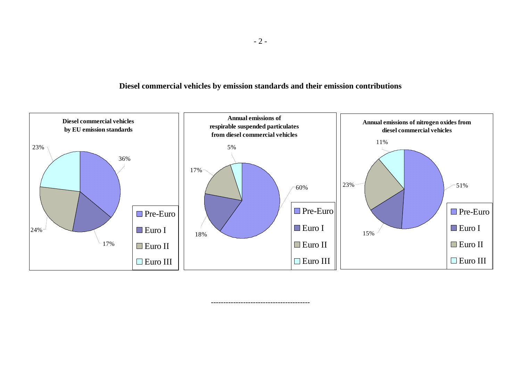#### **Diesel commercial vehicles by emission standards and their emission contributions**



----------------------------------------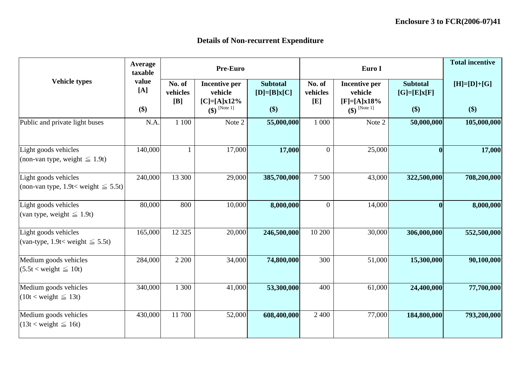|                                                                                    | <b>Average</b><br>taxable |                           | <b>Pre-Euro</b>                                  |                                  |                           | Euro I                                    |                                  | <b>Total incentive</b>    |
|------------------------------------------------------------------------------------|---------------------------|---------------------------|--------------------------------------------------|----------------------------------|---------------------------|-------------------------------------------|----------------------------------|---------------------------|
| <b>Vehicle types</b>                                                               | value<br>[A]              | No. of<br>vehicles<br>[B] | <b>Incentive per</b><br>vehicle<br>$[C]=[A]x12%$ | <b>Subtotal</b><br>$[D]=[B]x[C]$ | No. of<br>vehicles<br>[E] | Incentive per<br>vehicle<br>$[F]=[A]x18%$ | <b>Subtotal</b><br>$[G]=[E]x[F]$ | $[H]=[D]+[G]$             |
|                                                                                    | \$)                       |                           | $\left( \oint \right)$ [Note 1]                  | \$)                              |                           | $\left( \text{\$}\right)$ [Note 1]        | $\left( \text{\$}\right)$        | $\left( \text{\$}\right)$ |
| Public and private light buses                                                     | N.A.                      | 1 100                     | Note 2                                           | 55,000,000                       | 1 000                     | Note 2                                    | 50,000,000                       | 105,000,000               |
| Light goods vehicles<br>(non-van type, weight $\leq 1.9t$ )                        | 140,000                   |                           | 17,000                                           | 17,000                           | $\overline{0}$            | 25,000                                    | 0                                | 17,000                    |
| Light goods vehicles<br>$\left  \right $ (non-van type, 1.9t< weight $\leq 5.5t$ ) | 240,000                   | 13 300                    | 29,000                                           | 385,700,000                      | 7 500                     | 43,000                                    | 322,500,000                      | 708,200,000               |
| Light goods vehicles<br>(van type, weight $\leq 1.9t$ )                            | 80,000                    | 800                       | 10,000                                           | 8,000,000                        | $\overline{0}$            | 14,000                                    |                                  | 8,000,000                 |
| Light goods vehicles<br>(van-type, 1.9t< weight $\leq$ 5.5t)                       | 165,000                   | 12 3 25                   | 20,000                                           | 246,500,000                      | 10 200                    | 30,000                                    | 306,000,000                      | 552,500,000               |
| Medium goods vehicles<br>$(5.5t <$ weight $\leq 10t$ )                             | 284,000                   | 2 2 0 0                   | 34,000                                           | 74,800,000                       | 300                       | 51,000                                    | 15,300,000                       | 90,100,000                |
| Medium goods vehicles<br>$(10t <$ weight $\leq 13t)$                               | 340,000                   | 300                       | 41,000                                           | 53,300,000                       | 400                       | 61,000                                    | 24,400,000                       | 77,700,000                |
| Medium goods vehicles<br>$(13t <$ weight $\leq 16t)$                               | 430,000                   | 11700                     | 52,000                                           | 608,400,000                      | 2 4 0 0                   | 77,000                                    | 184,800,000                      | 793,200,000               |

# **Details of Non-recurrent Expenditure**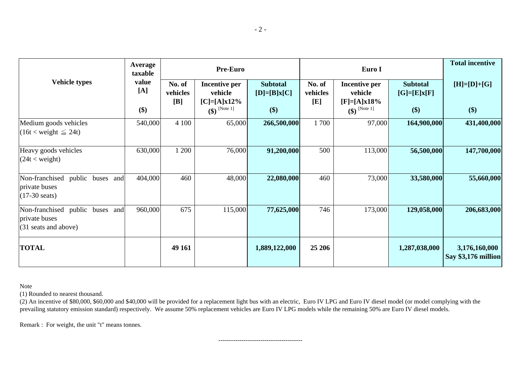(2) An incentive of \$80,000, \$60,000 and \$40,000 will be provided for a replacement light bus with an electric, Euro IV LPG and Euro IV diesel model (or model complying with the prevailing statutory emission standard) respectively. We assume 50% replacement vehicles are Euro IV LPG models while the remaining 50% are Euro IV diesel models.

|                                                                                               | <b>Average</b><br>taxable |                           | <b>Pre-Euro</b>                                   |                                  |                           | Euro I                                           |                                  | <b>Total incentive</b>               |
|-----------------------------------------------------------------------------------------------|---------------------------|---------------------------|---------------------------------------------------|----------------------------------|---------------------------|--------------------------------------------------|----------------------------------|--------------------------------------|
| <b>Vehicle types</b>                                                                          | value<br>[A]              | No. of<br>vehicles<br>[B] | <b>Incentive per</b><br>vehicle<br>$[C]=[A]x12\%$ | <b>Subtotal</b><br>$[D]=[B]x[C]$ | No. of<br>vehicles<br>[E] | <b>Incentive per</b><br>vehicle<br>$[F]=[A]x18%$ | <b>Subtotal</b><br>$[G]=[E]x[F]$ | $[H]=[D]+[G]$                        |
|                                                                                               | \$)                       |                           | $\left(\frac{1}{2}\right)$ [Note 1]               | $\left( \text{\$}\right)$        |                           | $\left(\frac{1}{2}\right)$ [Note 1]              | \$)                              | \$)                                  |
| Medium goods vehicles<br>$(16t <$ weight $\leq 24t$ )                                         | 540,000                   | 4 100                     | 65,000                                            | 266,500,000                      | 1700                      | 97,000                                           | 164,900,000                      | 431,400,000                          |
| Heavy goods vehicles<br>$(24t <$ weight)                                                      | 630,000                   | 1 200                     | 76,000                                            | 91,200,000                       | 500                       | 113,000                                          | 56,500,000                       | 147,700,000                          |
| Non-franchised<br>public buses and<br>private buses<br>$(17-30 \text{ seats})$                | 404,000                   | 460                       | 48,000                                            | 22,080,000                       | 460                       | 73,000                                           | 33,580,000                       | 55,660,000                           |
| Non-franchised public buses<br>and<br>private buses<br>$(31 \text{ seats} \text{ and above})$ | 960,000                   | 675                       | 115,000                                           | 77,625,000                       | 746                       | 173,000                                          | 129,058,000                      | 206,683,000                          |
| <b>TOTAL</b>                                                                                  |                           | 49 161                    |                                                   | 1,889,122,000                    | 25 20 6                   |                                                  | 1,287,038,000                    | 3,176,160,000<br>Say \$3,176 million |

Note

(1) Rounded to nearest thousand.

Remark : For weight, the unit "t" means tonnes.

----------------------------------------